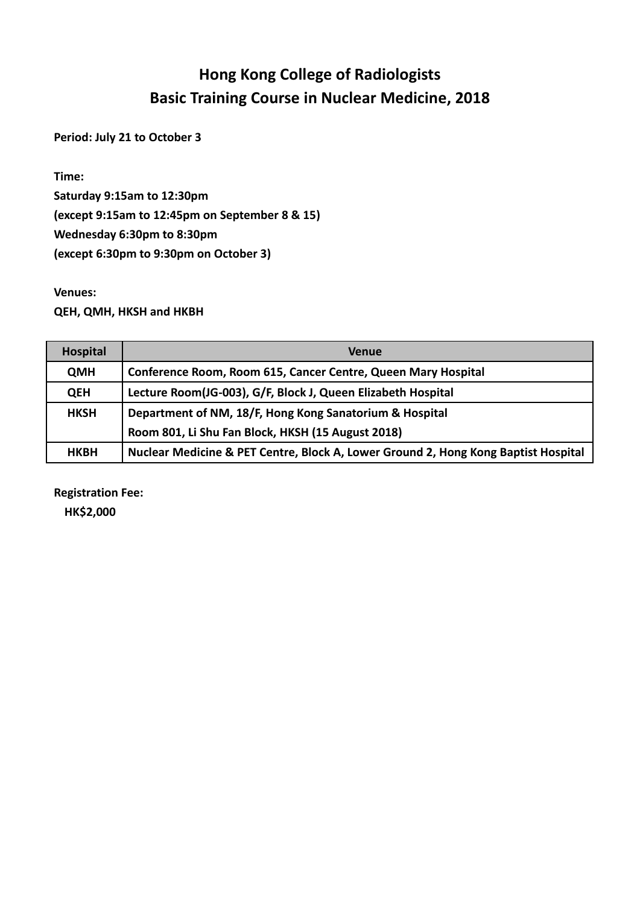## **Hong Kong College of Radiologists Basic Training Course in Nuclear Medicine, 2018**

**Period: July 21 to October 3**

**Time:** 

**Saturday 9:15am to 12:30pm (except 9:15am to 12:45pm on September 8 & 15) Wednesday 6:30pm to 8:30pm (except 6:30pm to 9:30pm on October 3)**

**Venues:**

**QEH, QMH, HKSH and HKBH**

| <b>Hospital</b> | <b>Venue</b>                                                                       |
|-----------------|------------------------------------------------------------------------------------|
| <b>QMH</b>      | Conference Room, Room 615, Cancer Centre, Queen Mary Hospital                      |
| <b>QEH</b>      | Lecture Room(JG-003), G/F, Block J, Queen Elizabeth Hospital                       |
| <b>HKSH</b>     | Department of NM, 18/F, Hong Kong Sanatorium & Hospital                            |
|                 | Room 801, Li Shu Fan Block, HKSH (15 August 2018)                                  |
| <b>HKBH</b>     | Nuclear Medicine & PET Centre, Block A, Lower Ground 2, Hong Kong Baptist Hospital |

**Registration Fee: HK\$2,000**